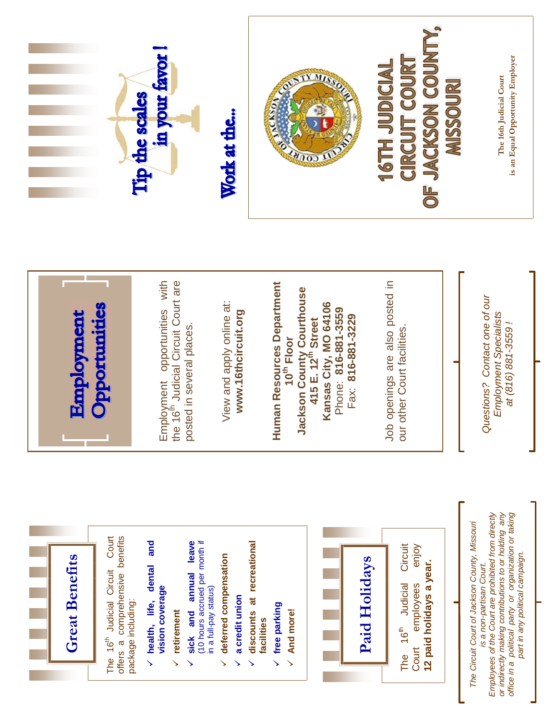